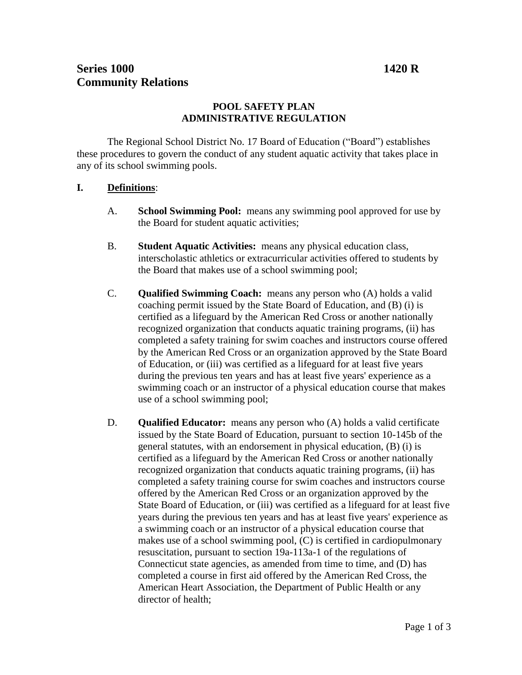# **Series 1000 1420 R Community Relations**

# **POOL SAFETY PLAN ADMINISTRATIVE REGULATION**

The Regional School District No. 17 Board of Education ("Board") establishes these procedures to govern the conduct of any student aquatic activity that takes place in any of its school swimming pools.

## **I. Definitions**:

- A. **School Swimming Pool:** means any swimming pool approved for use by the Board for student aquatic activities;
- B. **Student Aquatic Activities:** means any physical education class, interscholastic athletics or extracurricular activities offered to students by the Board that makes use of a school swimming pool;
- C. **Qualified Swimming Coach:** means any person who (A) holds a valid coaching permit issued by the State Board of Education, and (B) (i) is certified as a lifeguard by the American Red Cross or another nationally recognized organization that conducts aquatic training programs, (ii) has completed a safety training for swim coaches and instructors course offered by the American Red Cross or an organization approved by the State Board of Education, or (iii) was certified as a lifeguard for at least five years during the previous ten years and has at least five years' experience as a swimming coach or an instructor of a physical education course that makes use of a school swimming pool;
- D. **Qualified Educator:** means any person who (A) holds a valid certificate issued by the State Board of Education, pursuant to section 10-145b of the general statutes, with an endorsement in physical education, (B) (i) is certified as a lifeguard by the American Red Cross or another nationally recognized organization that conducts aquatic training programs, (ii) has completed a safety training course for swim coaches and instructors course offered by the American Red Cross or an organization approved by the State Board of Education, or (iii) was certified as a lifeguard for at least five years during the previous ten years and has at least five years' experience as a swimming coach or an instructor of a physical education course that makes use of a school swimming pool, (C) is certified in cardiopulmonary resuscitation, pursuant to section 19a-113a-1 of the regulations of Connecticut state agencies, as amended from time to time, and (D) has completed a course in first aid offered by the American Red Cross, the American Heart Association, the Department of Public Health or any director of health;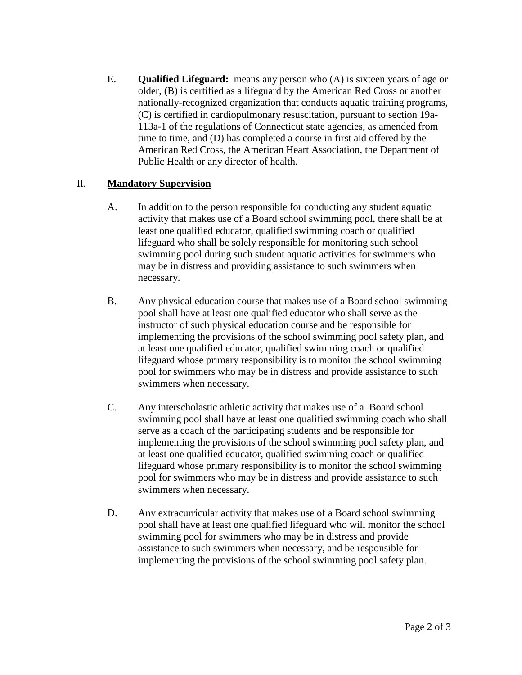E. **Qualified Lifeguard:** means any person who (A) is sixteen years of age or older, (B) is certified as a lifeguard by the American Red Cross or another nationally-recognized organization that conducts aquatic training programs, (C) is certified in cardiopulmonary resuscitation, pursuant to section 19a-113a-1 of the regulations of Connecticut state agencies, as amended from time to time, and (D) has completed a course in first aid offered by the American Red Cross, the American Heart Association, the Department of Public Health or any director of health.

#### II. **Mandatory Supervision**

- A. In addition to the person responsible for conducting any student aquatic activity that makes use of a Board school swimming pool, there shall be at least one qualified educator, qualified swimming coach or qualified lifeguard who shall be solely responsible for monitoring such school swimming pool during such student aquatic activities for swimmers who may be in distress and providing assistance to such swimmers when necessary.
- B. Any physical education course that makes use of a Board school swimming pool shall have at least one qualified educator who shall serve as the instructor of such physical education course and be responsible for implementing the provisions of the school swimming pool safety plan, and at least one qualified educator, qualified swimming coach or qualified lifeguard whose primary responsibility is to monitor the school swimming pool for swimmers who may be in distress and provide assistance to such swimmers when necessary.
- C. Any interscholastic athletic activity that makes use of a Board school swimming pool shall have at least one qualified swimming coach who shall serve as a coach of the participating students and be responsible for implementing the provisions of the school swimming pool safety plan, and at least one qualified educator, qualified swimming coach or qualified lifeguard whose primary responsibility is to monitor the school swimming pool for swimmers who may be in distress and provide assistance to such swimmers when necessary.
- D. Any extracurricular activity that makes use of a Board school swimming pool shall have at least one qualified lifeguard who will monitor the school swimming pool for swimmers who may be in distress and provide assistance to such swimmers when necessary, and be responsible for implementing the provisions of the school swimming pool safety plan.